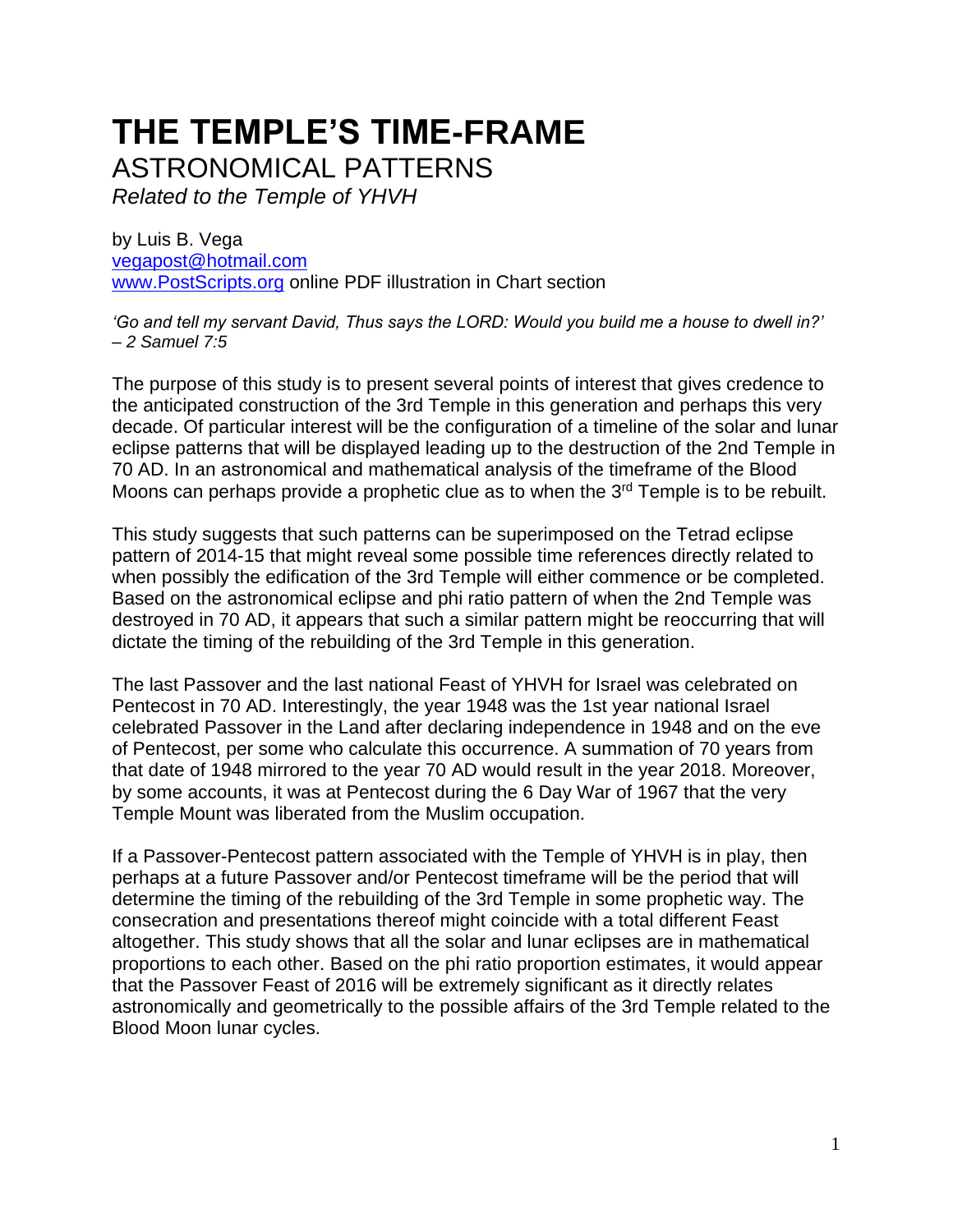# **THE TEMPLE'S TIME-FRAME**

ASTRONOMICAL PATTERNS

*Related to the Temple of YHVH* 

by Luis B. Vega [vegapost@hotmail.com](mailto:vegapost@hotmail.com) [www.PostScripts.org](http://www.postscripts.org/) online PDF illustration in Chart section

*'Go and tell my servant David, Thus says the LORD: Would you build me a house to dwell in?' – 2 Samuel 7:5* 

The purpose of this study is to present several points of interest that gives credence to the anticipated construction of the 3rd Temple in this generation and perhaps this very decade. Of particular interest will be the configuration of a timeline of the solar and lunar eclipse patterns that will be displayed leading up to the destruction of the 2nd Temple in 70 AD. In an astronomical and mathematical analysis of the timeframe of the Blood Moons can perhaps provide a prophetic clue as to when the 3<sup>rd</sup> Temple is to be rebuilt.

This study suggests that such patterns can be superimposed on the Tetrad eclipse pattern of 2014-15 that might reveal some possible time references directly related to when possibly the edification of the 3rd Temple will either commence or be completed. Based on the astronomical eclipse and phi ratio pattern of when the 2nd Temple was destroyed in 70 AD, it appears that such a similar pattern might be reoccurring that will dictate the timing of the rebuilding of the 3rd Temple in this generation.

The last Passover and the last national Feast of YHVH for Israel was celebrated on Pentecost in 70 AD. Interestingly, the year 1948 was the 1st year national Israel celebrated Passover in the Land after declaring independence in 1948 and on the eve of Pentecost, per some who calculate this occurrence. A summation of 70 years from that date of 1948 mirrored to the year 70 AD would result in the year 2018. Moreover, by some accounts, it was at Pentecost during the 6 Day War of 1967 that the very Temple Mount was liberated from the Muslim occupation.

If a Passover-Pentecost pattern associated with the Temple of YHVH is in play, then perhaps at a future Passover and/or Pentecost timeframe will be the period that will determine the timing of the rebuilding of the 3rd Temple in some prophetic way. The consecration and presentations thereof might coincide with a total different Feast altogether. This study shows that all the solar and lunar eclipses are in mathematical proportions to each other. Based on the phi ratio proportion estimates, it would appear that the Passover Feast of 2016 will be extremely significant as it directly relates astronomically and geometrically to the possible affairs of the 3rd Temple related to the Blood Moon lunar cycles.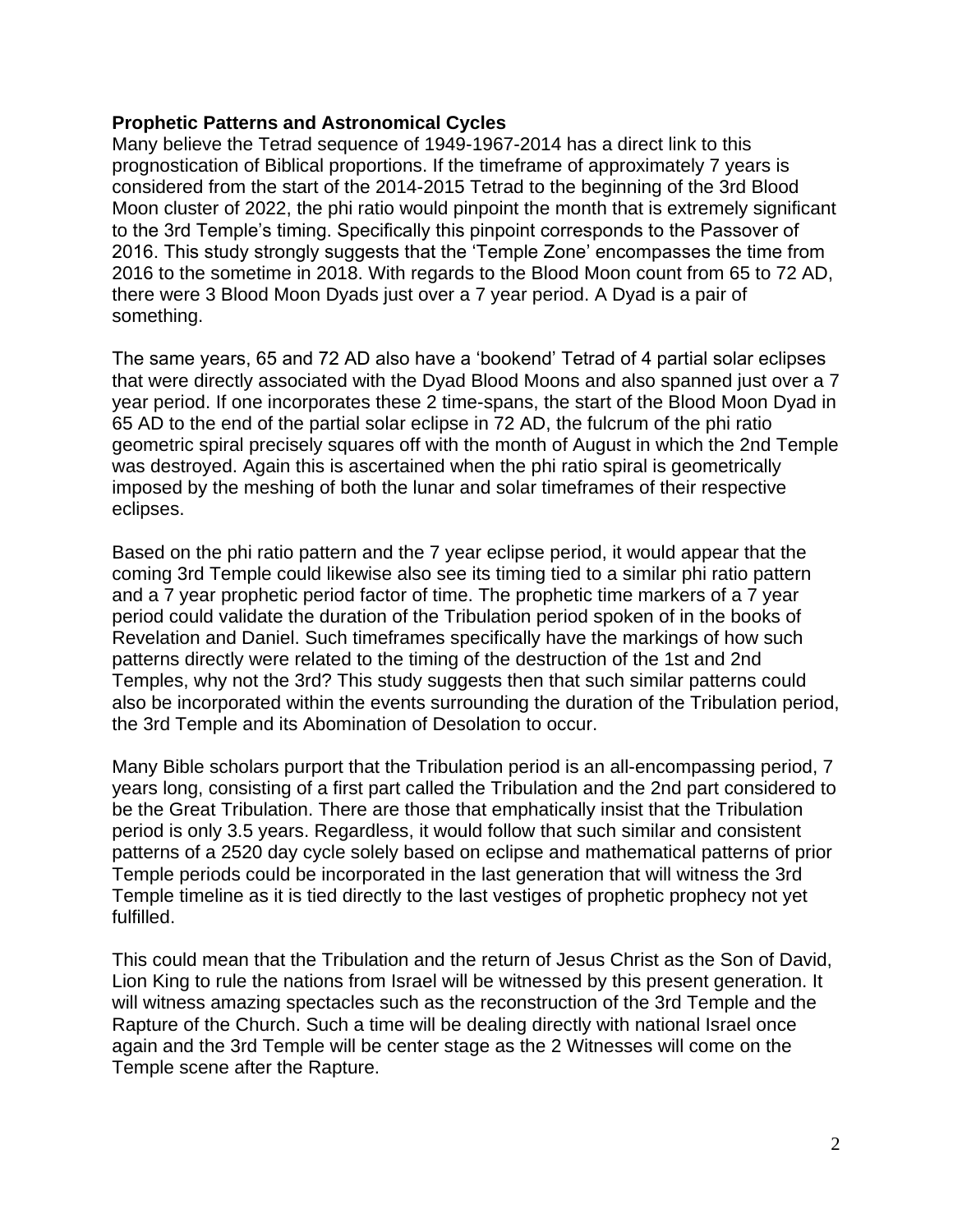## **Prophetic Patterns and Astronomical Cycles**

Many believe the Tetrad sequence of 1949-1967-2014 has a direct link to this prognostication of Biblical proportions. If the timeframe of approximately 7 years is considered from the start of the 2014-2015 Tetrad to the beginning of the 3rd Blood Moon cluster of 2022, the phi ratio would pinpoint the month that is extremely significant to the 3rd Temple's timing. Specifically this pinpoint corresponds to the Passover of 2016. This study strongly suggests that the 'Temple Zone' encompasses the time from 2016 to the sometime in 2018. With regards to the Blood Moon count from 65 to 72 AD, there were 3 Blood Moon Dyads just over a 7 year period. A Dyad is a pair of something.

The same years, 65 and 72 AD also have a 'bookend' Tetrad of 4 partial solar eclipses that were directly associated with the Dyad Blood Moons and also spanned just over a 7 year period. If one incorporates these 2 time-spans, the start of the Blood Moon Dyad in 65 AD to the end of the partial solar eclipse in 72 AD, the fulcrum of the phi ratio geometric spiral precisely squares off with the month of August in which the 2nd Temple was destroyed. Again this is ascertained when the phi ratio spiral is geometrically imposed by the meshing of both the lunar and solar timeframes of their respective eclipses.

Based on the phi ratio pattern and the 7 year eclipse period, it would appear that the coming 3rd Temple could likewise also see its timing tied to a similar phi ratio pattern and a 7 year prophetic period factor of time. The prophetic time markers of a 7 year period could validate the duration of the Tribulation period spoken of in the books of Revelation and Daniel. Such timeframes specifically have the markings of how such patterns directly were related to the timing of the destruction of the 1st and 2nd Temples, why not the 3rd? This study suggests then that such similar patterns could also be incorporated within the events surrounding the duration of the Tribulation period, the 3rd Temple and its Abomination of Desolation to occur.

Many Bible scholars purport that the Tribulation period is an all-encompassing period, 7 years long, consisting of a first part called the Tribulation and the 2nd part considered to be the Great Tribulation. There are those that emphatically insist that the Tribulation period is only 3.5 years. Regardless, it would follow that such similar and consistent patterns of a 2520 day cycle solely based on eclipse and mathematical patterns of prior Temple periods could be incorporated in the last generation that will witness the 3rd Temple timeline as it is tied directly to the last vestiges of prophetic prophecy not yet fulfilled.

This could mean that the Tribulation and the return of Jesus Christ as the Son of David, Lion King to rule the nations from Israel will be witnessed by this present generation. It will witness amazing spectacles such as the reconstruction of the 3rd Temple and the Rapture of the Church. Such a time will be dealing directly with national Israel once again and the 3rd Temple will be center stage as the 2 Witnesses will come on the Temple scene after the Rapture.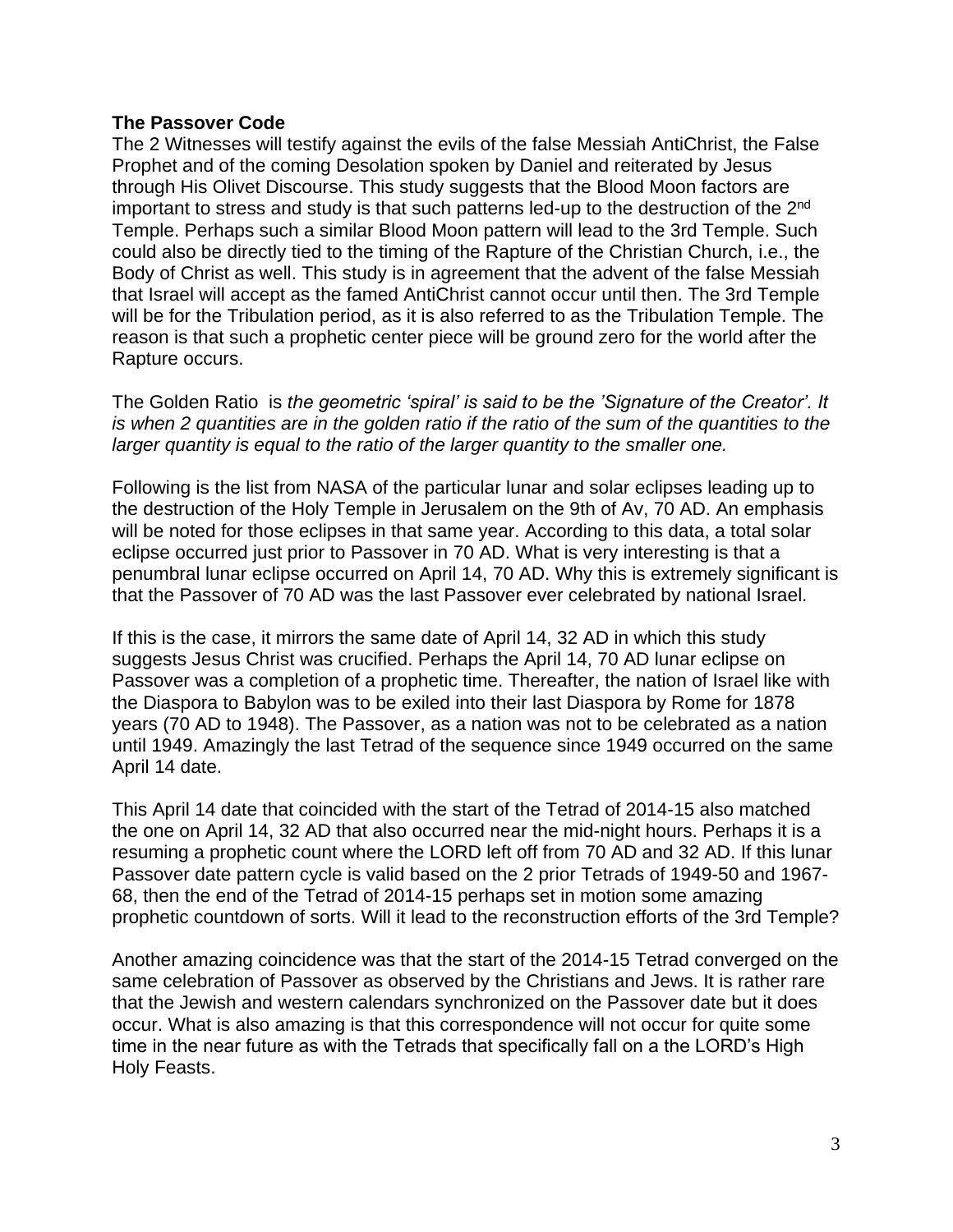## **The Passover Code**

The 2 Witnesses will testify against the evils of the false Messiah AntiChrist, the False Prophet and of the coming Desolation spoken by Daniel and reiterated by Jesus through His Olivet Discourse. This study suggests that the Blood Moon factors are important to stress and study is that such patterns led-up to the destruction of the 2<sup>nd</sup> Temple. Perhaps such a similar Blood Moon pattern will lead to the 3rd Temple. Such could also be directly tied to the timing of the Rapture of the Christian Church, i.e., the Body of Christ as well. This study is in agreement that the advent of the false Messiah that Israel will accept as the famed AntiChrist cannot occur until then. The 3rd Temple will be for the Tribulation period, as it is also referred to as the Tribulation Temple. The reason is that such a prophetic center piece will be ground zero for the world after the Rapture occurs.

The Golden Ratio is *the geometric 'spiral' is said to be the 'Signature of the Creator'. It is when 2 quantities are in the golden ratio if the ratio of the sum of the quantities to the larger quantity is equal to the ratio of the larger quantity to the smaller one.*

Following is the list from NASA of the particular lunar and solar eclipses leading up to the destruction of the Holy Temple in Jerusalem on the 9th of Av, 70 AD. An emphasis will be noted for those eclipses in that same year. According to this data, a total solar eclipse occurred just prior to Passover in 70 AD. What is very interesting is that a penumbral lunar eclipse occurred on April 14, 70 AD. Why this is extremely significant is that the Passover of 70 AD was the last Passover ever celebrated by national Israel.

If this is the case, it mirrors the same date of April 14, 32 AD in which this study suggests Jesus Christ was crucified. Perhaps the April 14, 70 AD lunar eclipse on Passover was a completion of a prophetic time. Thereafter, the nation of Israel like with the Diaspora to Babylon was to be exiled into their last Diaspora by Rome for 1878 years (70 AD to 1948). The Passover, as a nation was not to be celebrated as a nation until 1949. Amazingly the last Tetrad of the sequence since 1949 occurred on the same April 14 date.

This April 14 date that coincided with the start of the Tetrad of 2014-15 also matched the one on April 14, 32 AD that also occurred near the mid-night hours. Perhaps it is a resuming a prophetic count where the LORD left off from 70 AD and 32 AD. If this lunar Passover date pattern cycle is valid based on the 2 prior Tetrads of 1949-50 and 1967- 68, then the end of the Tetrad of 2014-15 perhaps set in motion some amazing prophetic countdown of sorts. Will it lead to the reconstruction efforts of the 3rd Temple?

Another amazing coincidence was that the start of the 2014-15 Tetrad converged on the same celebration of Passover as observed by the Christians and Jews. It is rather rare that the Jewish and western calendars synchronized on the Passover date but it does occur. What is also amazing is that this correspondence will not occur for quite some time in the near future as with the Tetrads that specifically fall on a the LORD's High Holy Feasts.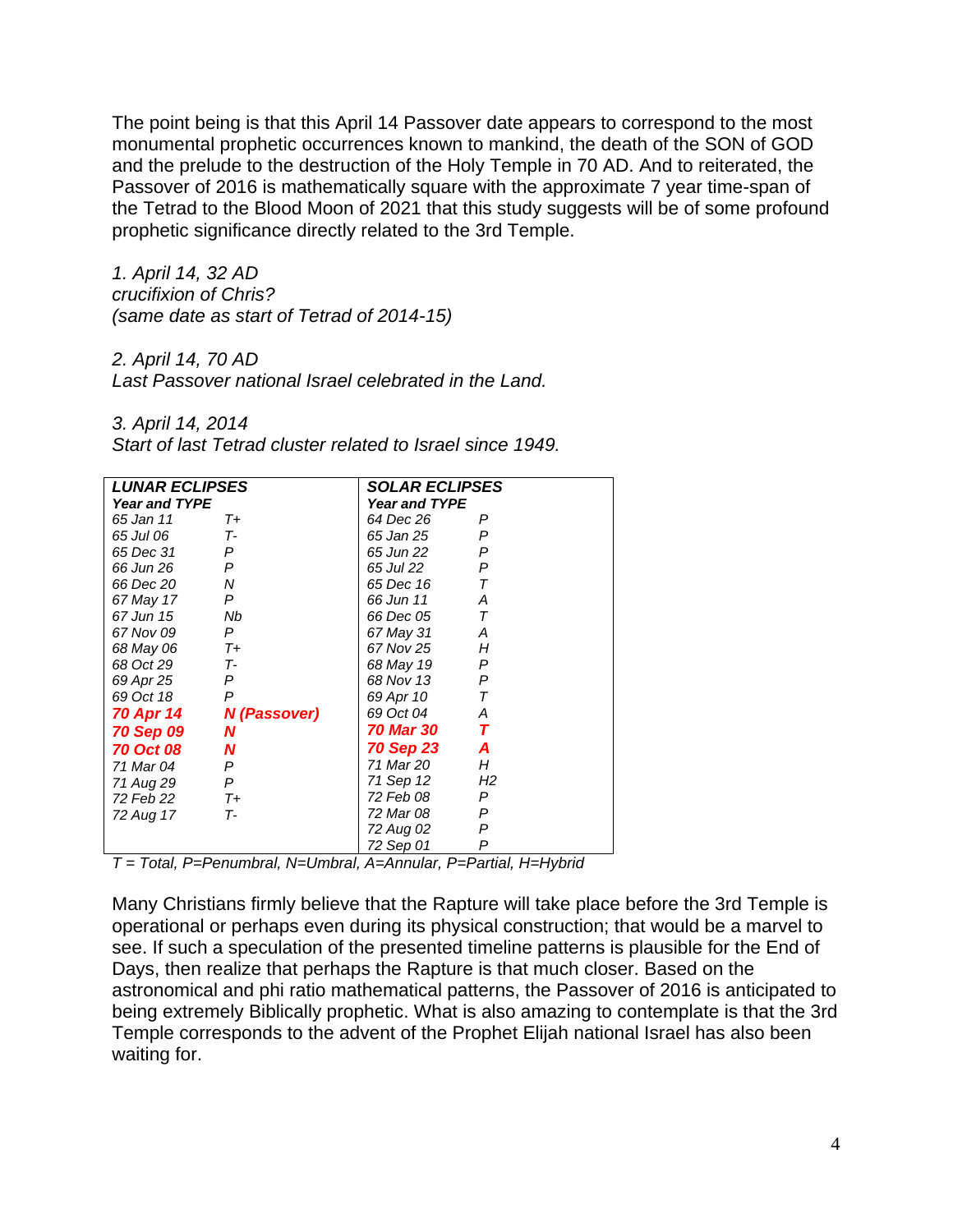The point being is that this April 14 Passover date appears to correspond to the most monumental prophetic occurrences known to mankind, the death of the SON of GOD and the prelude to the destruction of the Holy Temple in 70 AD. And to reiterated, the Passover of 2016 is mathematically square with the approximate 7 year time-span of the Tetrad to the Blood Moon of 2021 that this study suggests will be of some profound prophetic significance directly related to the 3rd Temple.

*1. April 14, 32 AD crucifixion of Chris? (same date as start of Tetrad of 2014-15)*

*2. April 14, 70 AD*

*Last Passover national Israel celebrated in the Land.* 

*3. April 14, 2014*

|  | Start of last Tetrad cluster related to Israel since 1949. |  |  |  |  |  |  |  |
|--|------------------------------------------------------------|--|--|--|--|--|--|--|
|--|------------------------------------------------------------|--|--|--|--|--|--|--|

| <b>LUNAR ECLIPSES</b> |              | <b>SOLAR ECLIPSES</b> |                         |  |  |  |
|-----------------------|--------------|-----------------------|-------------------------|--|--|--|
| <b>Year and TYPE</b>  |              | <b>Year and TYPE</b>  |                         |  |  |  |
| 65 Jan 11             | $T_{+}$      | 64 Dec 26             | P                       |  |  |  |
| 65 Jul 06             | $T-$         | 65 Jan 25             | P                       |  |  |  |
| 65 Dec 31             | P            | 65 Jun 22             | P                       |  |  |  |
| 66 Jun 26             | P            | 65 Jul 22             | P                       |  |  |  |
| 66 Dec 20             | N            | 65 Dec 16             | $\tau$                  |  |  |  |
| 67 May 17             | P            | 66 Jun 11             | Α                       |  |  |  |
| 67 Jun 15             | Nb           | 66 Dec 05             | $\tau$                  |  |  |  |
| 67 Nov 09             | P            | 67 May 31             | Α                       |  |  |  |
| 68 May 06             | $T_{+}$      | 67 Nov 25             | H                       |  |  |  |
| 68 Oct 29             | $T -$        | 68 May 19             | P                       |  |  |  |
| 69 Apr 25             | P            | 68 Nov 13             | P                       |  |  |  |
| 69 Oct 18             | P            | 69 Apr 10             | $\tau$                  |  |  |  |
| 70 Apr 14             | N (Passover) | 69 Oct 04             | Α                       |  |  |  |
| 70 Sep 09             | N            | <i>70 Mar 30</i>      | $\overline{\mathbf{r}}$ |  |  |  |
| <b>70 Oct 08</b>      | N            | 70 Sep 23             | A                       |  |  |  |
| 71 Mar 04             | P            | 71 Mar 20             | H                       |  |  |  |
| 71 Aug 29             | P            | 71 Sep 12             | H2                      |  |  |  |
| 72 Feb 22             | $T_{+}$      | 72 Feb 08             | P                       |  |  |  |
| 72 Aug 17             | $T -$        | 72 Mar 08             | P                       |  |  |  |
|                       |              | 72 Aug 02             | P                       |  |  |  |
|                       |              | 72 Sep 01             | P                       |  |  |  |

*T = Total, P=Penumbral, N=Umbral, A=Annular, P=Partial, H=Hybrid*

Many Christians firmly believe that the Rapture will take place before the 3rd Temple is operational or perhaps even during its physical construction; that would be a marvel to see. If such a speculation of the presented timeline patterns is plausible for the End of Days, then realize that perhaps the Rapture is that much closer. Based on the astronomical and phi ratio mathematical patterns, the Passover of 2016 is anticipated to being extremely Biblically prophetic. What is also amazing to contemplate is that the 3rd Temple corresponds to the advent of the Prophet Elijah national Israel has also been waiting for.